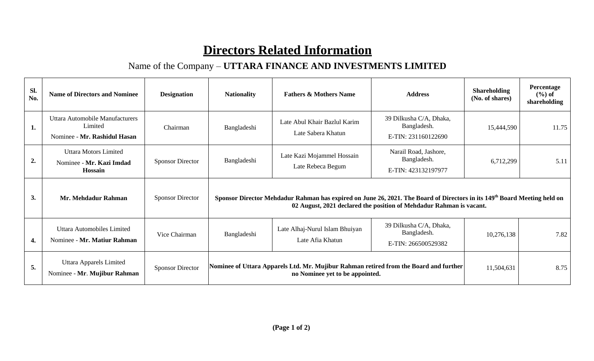## **Directors Related Information**

## Name of the Company – **UTTARA FINANCE AND INVESTMENTS LIMITED**

| Sl.<br>No. | <b>Name of Directors and Nominee</b>                                       | <b>Designation</b>      | <b>Nationality</b>                                                                                                                                                                                          | <b>Fathers &amp; Mothers Name</b>                  | <b>Address</b>                                                | <b>Shareholding</b><br>(No. of shares) | Percentage<br>$(\% )$ of<br>shareholding |  |  |  |
|------------|----------------------------------------------------------------------------|-------------------------|-------------------------------------------------------------------------------------------------------------------------------------------------------------------------------------------------------------|----------------------------------------------------|---------------------------------------------------------------|----------------------------------------|------------------------------------------|--|--|--|
| 1.         | Uttara Automobile Manufacturers<br>Limited<br>Nominee - Mr. Rashidul Hasan | Chairman                | Bangladeshi                                                                                                                                                                                                 | Late Abul Khair Bazlul Karim<br>Late Sabera Khatun | 39 Dilkusha C/A, Dhaka,<br>Bangladesh.<br>E-TIN: 231160122690 | 15,444,590                             | 11.75                                    |  |  |  |
| 2.         | <b>Uttara Motors Limited</b><br>Nominee - Mr. Kazi Imdad<br>Hossain        | <b>Sponsor Director</b> | Bangladeshi                                                                                                                                                                                                 | Late Kazi Mojammel Hossain<br>Late Rebeca Begum    | Narail Road, Jashore,<br>Bangladesh.<br>E-TIN: 423132197977   | 6,712,299                              | 5.11                                     |  |  |  |
| 3.         | Mr. Mehdadur Rahman                                                        | <b>Sponsor Director</b> | Sponsor Director Mehdadur Rahman has expired on June 26, 2021. The Board of Directors in its 149 <sup>th</sup> Board Meeting held on<br>02 August, 2021 declared the position of Mehdadur Rahman is vacant. |                                                    |                                                               |                                        |                                          |  |  |  |
| 4.         | <b>Uttara Automobiles Limited</b><br>Nominee - Mr. Matiur Rahman           | Vice Chairman           | Bangladeshi                                                                                                                                                                                                 | Late Alhaj-Nurul Islam Bhuiyan<br>Late Afia Khatun | 39 Dilkusha C/A, Dhaka,<br>Bangladesh.<br>E-TIN: 266500529382 | 10,276,138                             | 7.82                                     |  |  |  |
| 5.         | Uttara Apparels Limited<br>Nominee - Mr. Mujibur Rahman                    | <b>Sponsor Director</b> | Nominee of Uttara Apparels Ltd. Mr. Mujibur Rahman retired from the Board and further                                                                                                                       | 11,504,631                                         | 8.75                                                          |                                        |                                          |  |  |  |